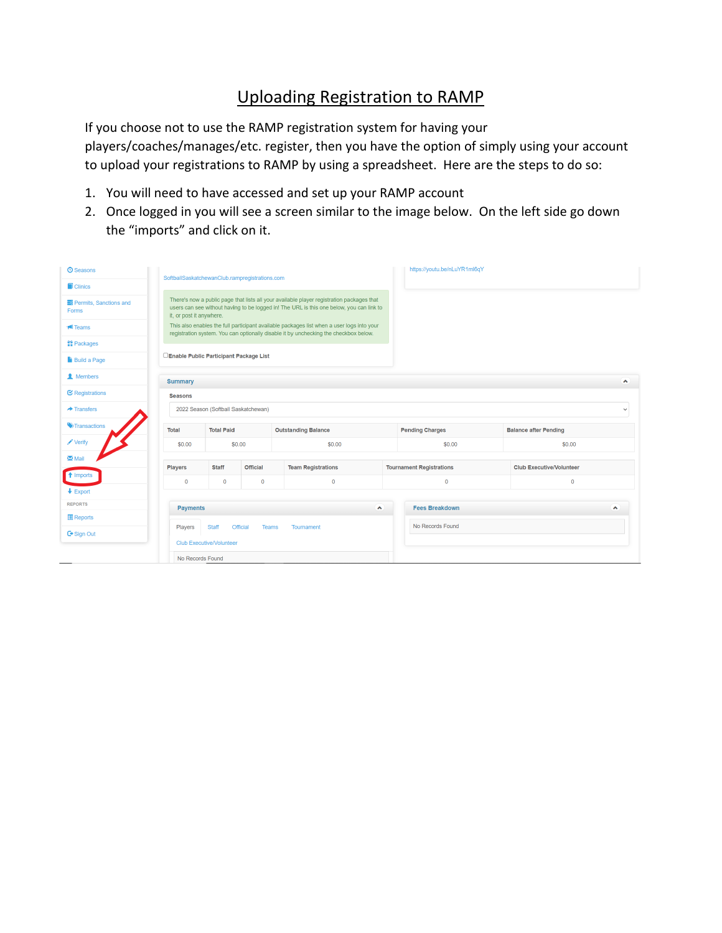## Uploading Registration to RAMP

If you choose not to use the RAMP registration system for having your players/coaches/manages/etc. register, then you have the option of simply using your account to upload your registrations to RAMP by using a spreadsheet. Here are the steps to do so:

- 1. You will need to have accessed and set up your RAMP account
- 2. Once logged in you will see a screen similar to the image below. On the left side go down the "imports" and click on it.

| <b>O</b> Seasons                |                                                |                                                 |                          |                                                                                                                                                                                       |                  | https://youtu.be/nLuYR1ml6qY                                     |                                 |                     |  |  |  |
|---------------------------------|------------------------------------------------|-------------------------------------------------|--------------------------|---------------------------------------------------------------------------------------------------------------------------------------------------------------------------------------|------------------|------------------------------------------------------------------|---------------------------------|---------------------|--|--|--|
| <b>Clinics</b>                  | SoftballSaskatchewanClub.rampregistrations.com |                                                 |                          |                                                                                                                                                                                       |                  |                                                                  |                                 |                     |  |  |  |
| Permits, Sanctions and<br>Forms | it, or post it anywhere.                       |                                                 |                          | There's now a public page that lists all your available player registration packages that<br>users can see without having to be logged in! The URL is this one below, you can link to |                  |                                                                  |                                 |                     |  |  |  |
| <b>IN</b> Teams                 |                                                |                                                 |                          | This also enables the full participant available packages list when a user logs into your<br>registration system. You can optionally disable it by unchecking the checkbox below.     |                  |                                                                  |                                 |                     |  |  |  |
| <b>曾 Packages</b>               |                                                |                                                 |                          |                                                                                                                                                                                       |                  |                                                                  |                                 |                     |  |  |  |
| <b>Build a Page</b>             | <b>Enable Public Participant Package List</b>  |                                                 |                          |                                                                                                                                                                                       |                  |                                                                  |                                 |                     |  |  |  |
| 1 Members                       | <b>Summary</b>                                 |                                                 |                          |                                                                                                                                                                                       |                  |                                                                  |                                 | $\hat{\phantom{a}}$ |  |  |  |
| <b>E</b> Registrations          | <b>Seasons</b>                                 |                                                 |                          |                                                                                                                                                                                       |                  |                                                                  |                                 |                     |  |  |  |
| $\rightarrow$ Transfers         |                                                | 2022 Season (Softball Saskatchewan)             |                          |                                                                                                                                                                                       |                  |                                                                  |                                 | $\checkmark$        |  |  |  |
| <b>W</b> Transactions           | Total                                          | <b>Total Paid</b>                               |                          | <b>Outstanding Balance</b>                                                                                                                                                            |                  | <b>Pending Charges</b>                                           | <b>Balance after Pending</b>    |                     |  |  |  |
| Verify                          | \$0.00                                         |                                                 | \$0.00                   | \$0.00                                                                                                                                                                                |                  | \$0.00<br>\$0,00                                                 |                                 |                     |  |  |  |
| Mail                            |                                                |                                                 |                          |                                                                                                                                                                                       |                  |                                                                  |                                 |                     |  |  |  |
| ↑ Imports                       | <b>Players</b>                                 | <b>Staff</b>                                    | <b>Official</b>          | <b>Team Registrations</b>                                                                                                                                                             |                  | <b>Tournament Registrations</b>                                  | <b>Club Executive/Volunteer</b> |                     |  |  |  |
| $\big\{\mathsf{Export}\}$       | $\mathbf{0}$                                   | $\mathbf 0$                                     | $\mathbf 0$              | $\mathbf 0$                                                                                                                                                                           |                  | $\mathbf{0}$                                                     | $\mathbf{0}$                    |                     |  |  |  |
| <b>REPORTS</b>                  |                                                |                                                 |                          |                                                                                                                                                                                       |                  |                                                                  |                                 |                     |  |  |  |
| <b>Reports</b>                  | <b>Payments</b>                                |                                                 |                          |                                                                                                                                                                                       | $\blacktriangle$ | <b>Fees Breakdown</b><br>$\hat{\phantom{a}}$<br>No Records Found |                                 |                     |  |  |  |
| <b>← Sign Out</b>               | Players                                        | <b>Staff</b><br><b>Club Executive/Volunteer</b> | Official<br><b>Teams</b> | Tournament                                                                                                                                                                            |                  |                                                                  |                                 |                     |  |  |  |
|                                 | No Records Found                               |                                                 |                          |                                                                                                                                                                                       |                  |                                                                  |                                 |                     |  |  |  |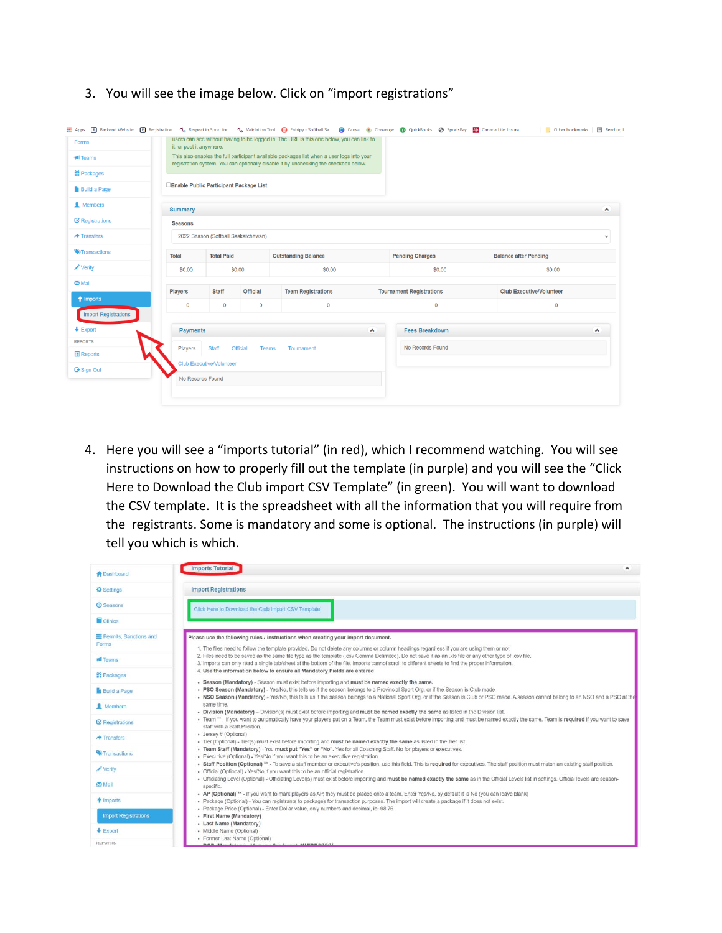3. You will see the image below. Click on "import registrations"

| Forms                       | it, or post it anywhere.                |                                     |                                 | users can see without having to be logged in! The URL is this one below, you can link to                                                                                          |  |                                                        |                                 |                     |  |  |  |  |
|-----------------------------|-----------------------------------------|-------------------------------------|---------------------------------|-----------------------------------------------------------------------------------------------------------------------------------------------------------------------------------|--|--------------------------------------------------------|---------------------------------|---------------------|--|--|--|--|
| <b>I</b> Teams              |                                         |                                     |                                 | This also enables the full participant available packages list when a user logs into your<br>registration system. You can optionally disable it by unchecking the checkbox below. |  |                                                        |                                 |                     |  |  |  |  |
| <b>曾 Packages</b>           |                                         |                                     |                                 |                                                                                                                                                                                   |  |                                                        |                                 |                     |  |  |  |  |
| <b>Build a Page</b>         | □Enable Public Participant Package List |                                     |                                 |                                                                                                                                                                                   |  |                                                        |                                 |                     |  |  |  |  |
| 1 Members                   | <b>Summary</b>                          |                                     |                                 |                                                                                                                                                                                   |  |                                                        |                                 | $\hat{\phantom{a}}$ |  |  |  |  |
| <b>E</b> Registrations      | <b>Seasons</b>                          |                                     |                                 |                                                                                                                                                                                   |  |                                                        |                                 |                     |  |  |  |  |
| $\rightarrow$ Transfers     |                                         | 2022 Season (Softball Saskatchewan) |                                 |                                                                                                                                                                                   |  |                                                        |                                 |                     |  |  |  |  |
| <b>W</b> Transactions       | <b>Total</b>                            | <b>Total Paid</b>                   |                                 | <b>Outstanding Balance</b>                                                                                                                                                        |  | <b>Pending Charges</b><br><b>Balance after Pending</b> |                                 |                     |  |  |  |  |
| $\sqrt{\phantom{a}}$ Verify | \$0.00                                  |                                     | \$0.00                          | \$0.00                                                                                                                                                                            |  | \$0.00<br>\$0.00                                       |                                 |                     |  |  |  |  |
| Mail                        | <b>Players</b>                          | <b>Staff</b>                        | <b>Official</b>                 | <b>Team Registrations</b>                                                                                                                                                         |  | <b>Tournament Registrations</b>                        | <b>Club Executive/Volunteer</b> |                     |  |  |  |  |
| t Imports                   | $\mathbf 0$                             | $\circ$                             | $\mathbf 0$                     | $\mathbf 0$                                                                                                                                                                       |  | $\mathbf 0$<br>$\mathbf 0$                             |                                 |                     |  |  |  |  |
| Import Registrations        |                                         |                                     |                                 |                                                                                                                                                                                   |  |                                                        |                                 |                     |  |  |  |  |
| $\big\{\mathsf{Export}\}$   | <b>Payments</b>                         |                                     |                                 | $\hat{\phantom{a}}$                                                                                                                                                               |  | <b>Fees Breakdown</b>                                  |                                 | $\hat{\phantom{a}}$ |  |  |  |  |
| <b>REPORTS</b>              | Players                                 | <b>Staff</b>                        | <b>Official</b><br><b>Teams</b> | Tournament                                                                                                                                                                        |  | No Records Found                                       |                                 |                     |  |  |  |  |
| <b>Reports</b>              |                                         |                                     |                                 |                                                                                                                                                                                   |  |                                                        |                                 |                     |  |  |  |  |
| <b>□</b> Sign Out           |                                         | <b>Club Executive/Volunteer</b>     |                                 |                                                                                                                                                                                   |  |                                                        |                                 |                     |  |  |  |  |
|                             | No Records Found                        |                                     |                                 |                                                                                                                                                                                   |  |                                                        |                                 |                     |  |  |  |  |

4. Here you will see a "imports tutorial" (in red), which I recommend watching. You will see instructions on how to properly fill out the template (in purple) and you will see the "Click Here to Download the Club import CSV Template" (in green). You will want to download the CSV template. It is the spreadsheet with all the information that you will require from the registrants. Some is mandatory and some is optional. The instructions (in purple) will tell you which is which.

| <b>A</b> Dashboard              | <b>Imports Tutorial</b><br>$\hat{\phantom{a}}$                                                                                                                                                                                                                                                                                                                                                                                                         |
|---------------------------------|--------------------------------------------------------------------------------------------------------------------------------------------------------------------------------------------------------------------------------------------------------------------------------------------------------------------------------------------------------------------------------------------------------------------------------------------------------|
| <b>☆</b> Settings               | <b>Import Registrations</b>                                                                                                                                                                                                                                                                                                                                                                                                                            |
| <b>O</b> Seasons                | Click Here to Download the Club Import CSV Template                                                                                                                                                                                                                                                                                                                                                                                                    |
| Clinics                         |                                                                                                                                                                                                                                                                                                                                                                                                                                                        |
| Permits, Sanctions and<br>Forms | Please use the following rules / instructions when creating your import document.                                                                                                                                                                                                                                                                                                                                                                      |
| $H$ Teams                       | 1. The files need to follow the template provided. Do not delete any columns or column headings regardless if you are using them or not.<br>2. Files need to be saved as the same file type as the template (.csv Comma Delimited). Do not save it as an .xls file or any other type of .csv file.<br>3. Imports can only read a single tab/sheet at the bottom of the file. Imports cannot scroll to different sheets to find the proper information. |
| <sup>29</sup> Packages          | 4. Use the information below to ensure all Mandatory Fields are entered                                                                                                                                                                                                                                                                                                                                                                                |
| <b>Build a Page</b>             | . Season (Mandatory) - Season must exist before importing and must be named exactly the same.<br>. PSO Season (Mandatory) - Yes/No, this tells us if the season belongs to a Provincial Sport Org. or if the Season is Club made<br>. NSO Season (Mandatory) - Yes/No, this tells us if the season belongs to a National Sport Org. or if the Season is Club or PSO made. A season cannot belong to an NSO and a PSO at the                            |
| <b>A</b> Members                | same time.                                                                                                                                                                                                                                                                                                                                                                                                                                             |
| <b>E</b> Registrations          | . Division (Mandatory) - Division(s) must exist before importing and must be named exactly the same as listed in the Division list.<br>. Team ** - If you want to automatically have your players put on a Team, the Team must exist before importing and must be named exactly the same. Team is required if you want to save<br>staff with a Staff Position.                                                                                         |
| $\rightarrow$ Transfers         | • Jersey # (Optional)<br>. Tier (Optional) - Tier(s) must exist before importing and must be named exactly the same as listed in the Tier list.                                                                                                                                                                                                                                                                                                        |
| <b>S</b> Transactions           | . Team Staff (Mandatory) - You must put "Yes" or "No". Yes for all Coaching Staff. No for players or executives.<br>- Executive (Optional) - Yes/No if you want this to be an executive registration.                                                                                                                                                                                                                                                  |
| Verify                          | . Staff Position (Optional) ** - To save a staff member or executive's position, use this field. This is required for executives. The staff position must match an existing staff position.<br>• Official (Optional) - Yes/No if you want this to be an official registration.                                                                                                                                                                         |
| Mail                            | . Officiating Level (Optional) - Officiating Level(s) must exist before importing and must be named exactly the same as in the Official Levels list in settings. Official levels are season-<br>specific.                                                                                                                                                                                                                                              |
| t Imports                       | . AP (Optional) ** - If you want to mark players as AP, they must be placed onto a team. Enter Yes/No, by default it is No (you can leave blank)<br>. Package (Optional) - You can registrants to packages for transaction purposes. The import will create a package if it does not exist.                                                                                                                                                            |
| <b>Import Registrations</b>     | • Package Price (Optional) - Enter Dollar value, only numbers and decimal, ie: 98.76<br>· First Name (Mandatory)<br>- Last Name (Mandatory)                                                                                                                                                                                                                                                                                                            |
| $E$ Export                      | · Middle Name (Optional)                                                                                                                                                                                                                                                                                                                                                                                                                               |
| <b>REPORTS</b>                  | • Former Last Name (Optional)<br><b>BOB Bloodstand About the famous MARIBBOONS</b>                                                                                                                                                                                                                                                                                                                                                                     |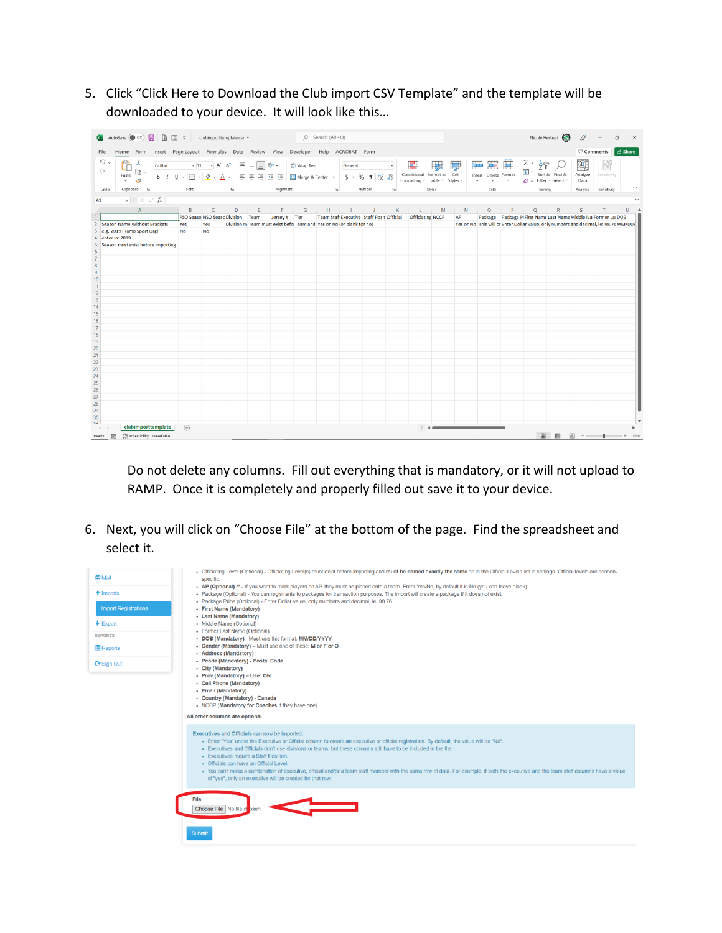5. Click "Click Here to Download the Club import CSV Template" and the template will be downloaded to your device. It will look like this…

|                 | <b>K</b> AutoSave off) <b>E A E</b> $\overline{z}$ clubimporttemplate.csv <b>*</b>         |             |                                   |                |                                                                                                                                                                                                                                |                    |   | $\Box$ Search (Alt+Q) |                |        |                 |                                                                                         |                         |                          |                                                        |        |                                                                    | Nicole Herbert                                                                        |                      | $\oslash$ $-$                                   | $\circ$<br>$\mathsf{X}$ |
|-----------------|--------------------------------------------------------------------------------------------|-------------|-----------------------------------|----------------|--------------------------------------------------------------------------------------------------------------------------------------------------------------------------------------------------------------------------------|--------------------|---|-----------------------|----------------|--------|-----------------|-----------------------------------------------------------------------------------------|-------------------------|--------------------------|--------------------------------------------------------|--------|--------------------------------------------------------------------|---------------------------------------------------------------------------------------|----------------------|-------------------------------------------------|-------------------------|
|                 | Home Form Insert Page Layout Formulas Data Review View Developer Help ACROBAT Form<br>File |             |                                   |                |                                                                                                                                                                                                                                |                    |   |                       |                |        |                 |                                                                                         |                         |                          |                                                        |        |                                                                    |                                                                                       |                      | □ Comments <b>B</b> Share                       |                         |
|                 | り<br>□ ▲<br>Calibri<br>$\mathbb C$<br>lb -<br>Paste<br>$\sim$ $\sigma$                     |             |                                   |                | $\bullet$ 11 $\bullet$ A <sup>*</sup> $\equiv \equiv \boxed{\equiv}$ $\frac{1}{2}$ $\bullet \sim$ $\frac{1}{2}$ Wrap Text<br>B <i>I</i> リ ▽ 田 ▽   _の ▽ <u>A</u> ▽   三 三 三   三 三   国 Merge & Center <b>▽   \$ ▽ % ラ</b>   協 - % |                    |   |                       | General        |        | $\rightarrow$   | $\overline{\phantom{a}}$<br>Conditional Format as Cell<br>Formatting v Table v Styles v | $\overline{\mathbb{Z}}$ | $\overline{\mathscr{S}}$ | ■ B 国 L → Ar Q<br>Insert Delete Format<br>$\checkmark$ | $\sim$ | $\overline{L}$ $\overline{S}$ Sort & Find &<br>← Filter ~ Select ~ |                                                                                       | 靊<br>Analyze<br>Data | 1<br>Sensitivity<br>$\mathcal{L}_{\mathcal{M}}$ |                         |
|                 | Clipboard Fy<br>Undo                                                                       | Font        |                                   | $\overline{2}$ |                                                                                                                                                                                                                                | Alignment          |   | $\overline{13}$       |                | Number | $\overline{13}$ |                                                                                         | Styles                  |                          | Cells                                                  |        | Editing                                                            |                                                                                       | Analysis             | Sensitivity                                     |                         |
| A1              | $\vee$ i $\times \vee f$ x<br>A                                                            | B           | $\mathsf{C}$                      | D              | $E = E$                                                                                                                                                                                                                        |                    | G | H                     | $\blacksquare$ |        | K               |                                                                                         |                         |                          | N O P                                                  |        | $\Omega$                                                           | R                                                                                     | $S$ T                |                                                 | $U$ $A$                 |
|                 |                                                                                            |             | PSO Seaso NSO Seasc Division Team |                |                                                                                                                                                                                                                                | F<br>Jersey # Tier |   |                       |                |        |                 | $L$ M<br>Team Staf Executive Staff Posit Official  Officiating NCCP                     |                         | <b>AP</b>                |                                                        |        |                                                                    | Package Package Pi First Name Last Name Middle Na Former La: DOB                      |                      |                                                 |                         |
| $\overline{c}$  | Season Name Without Brackets                                                               | Yes         | Yes                               |                | Division m Team must exist befo Team and Yes or No (or blank for no)                                                                                                                                                           |                    |   |                       |                |        |                 |                                                                                         |                         |                          |                                                        |        |                                                                    | Yes or No This will cr Enter Dollar value, only numbers and decimal, ie: 98.76 MM/DD/ |                      |                                                 |                         |
| 3               | e.g. 2019 (Ramp Sport Org)                                                                 | <b>No</b>   | <b>No</b>                         |                |                                                                                                                                                                                                                                |                    |   |                       |                |        |                 |                                                                                         |                         |                          |                                                        |        |                                                                    |                                                                                       |                      |                                                 |                         |
|                 | 4 enter in: 2019                                                                           |             |                                   |                |                                                                                                                                                                                                                                |                    |   |                       |                |        |                 |                                                                                         |                         |                          |                                                        |        |                                                                    |                                                                                       |                      |                                                 |                         |
| 5<br>6          | Season must exist before importing                                                         |             |                                   |                |                                                                                                                                                                                                                                |                    |   |                       |                |        |                 |                                                                                         |                         |                          |                                                        |        |                                                                    |                                                                                       |                      |                                                 |                         |
| $\frac{7}{8}$   |                                                                                            |             |                                   |                |                                                                                                                                                                                                                                |                    |   |                       |                |        |                 |                                                                                         |                         |                          |                                                        |        |                                                                    |                                                                                       |                      |                                                 |                         |
|                 |                                                                                            |             |                                   |                |                                                                                                                                                                                                                                |                    |   |                       |                |        |                 |                                                                                         |                         |                          |                                                        |        |                                                                    |                                                                                       |                      |                                                 |                         |
| $\overline{9}$  |                                                                                            |             |                                   |                |                                                                                                                                                                                                                                |                    |   |                       |                |        |                 |                                                                                         |                         |                          |                                                        |        |                                                                    |                                                                                       |                      |                                                 |                         |
| 10<br>11        |                                                                                            |             |                                   |                |                                                                                                                                                                                                                                |                    |   |                       |                |        |                 |                                                                                         |                         |                          |                                                        |        |                                                                    |                                                                                       |                      |                                                 |                         |
| 12              |                                                                                            |             |                                   |                |                                                                                                                                                                                                                                |                    |   |                       |                |        |                 |                                                                                         |                         |                          |                                                        |        |                                                                    |                                                                                       |                      |                                                 |                         |
| 13              |                                                                                            |             |                                   |                |                                                                                                                                                                                                                                |                    |   |                       |                |        |                 |                                                                                         |                         |                          |                                                        |        |                                                                    |                                                                                       |                      |                                                 |                         |
| 14              |                                                                                            |             |                                   |                |                                                                                                                                                                                                                                |                    |   |                       |                |        |                 |                                                                                         |                         |                          |                                                        |        |                                                                    |                                                                                       |                      |                                                 |                         |
| 15<br>16        |                                                                                            |             |                                   |                |                                                                                                                                                                                                                                |                    |   |                       |                |        |                 |                                                                                         |                         |                          |                                                        |        |                                                                    |                                                                                       |                      |                                                 |                         |
| 17              |                                                                                            |             |                                   |                |                                                                                                                                                                                                                                |                    |   |                       |                |        |                 |                                                                                         |                         |                          |                                                        |        |                                                                    |                                                                                       |                      |                                                 |                         |
| 18              |                                                                                            |             |                                   |                |                                                                                                                                                                                                                                |                    |   |                       |                |        |                 |                                                                                         |                         |                          |                                                        |        |                                                                    |                                                                                       |                      |                                                 |                         |
| 19              |                                                                                            |             |                                   |                |                                                                                                                                                                                                                                |                    |   |                       |                |        |                 |                                                                                         |                         |                          |                                                        |        |                                                                    |                                                                                       |                      |                                                 |                         |
| 20              |                                                                                            |             |                                   |                |                                                                                                                                                                                                                                |                    |   |                       |                |        |                 |                                                                                         |                         |                          |                                                        |        |                                                                    |                                                                                       |                      |                                                 |                         |
| 21<br>22        |                                                                                            |             |                                   |                |                                                                                                                                                                                                                                |                    |   |                       |                |        |                 |                                                                                         |                         |                          |                                                        |        |                                                                    |                                                                                       |                      |                                                 |                         |
| 23              |                                                                                            |             |                                   |                |                                                                                                                                                                                                                                |                    |   |                       |                |        |                 |                                                                                         |                         |                          |                                                        |        |                                                                    |                                                                                       |                      |                                                 |                         |
| 24              |                                                                                            |             |                                   |                |                                                                                                                                                                                                                                |                    |   |                       |                |        |                 |                                                                                         |                         |                          |                                                        |        |                                                                    |                                                                                       |                      |                                                 |                         |
| $\frac{25}{26}$ |                                                                                            |             |                                   |                |                                                                                                                                                                                                                                |                    |   |                       |                |        |                 |                                                                                         |                         |                          |                                                        |        |                                                                    |                                                                                       |                      |                                                 |                         |
| 27              |                                                                                            |             |                                   |                |                                                                                                                                                                                                                                |                    |   |                       |                |        |                 |                                                                                         |                         |                          |                                                        |        |                                                                    |                                                                                       |                      |                                                 |                         |
| 28              |                                                                                            |             |                                   |                |                                                                                                                                                                                                                                |                    |   |                       |                |        |                 |                                                                                         |                         |                          |                                                        |        |                                                                    |                                                                                       |                      |                                                 |                         |
| 29              |                                                                                            |             |                                   |                |                                                                                                                                                                                                                                |                    |   |                       |                |        |                 |                                                                                         |                         |                          |                                                        |        |                                                                    |                                                                                       |                      |                                                 |                         |
| 30              |                                                                                            |             |                                   |                |                                                                                                                                                                                                                                |                    |   |                       |                |        |                 |                                                                                         |                         |                          |                                                        |        |                                                                    |                                                                                       |                      |                                                 |                         |
| $\overline{a}$  | clubimporttemplate<br>$-4$ $-1$                                                            | $\bigoplus$ |                                   |                |                                                                                                                                                                                                                                |                    |   |                       |                |        |                 |                                                                                         |                         |                          |                                                        |        |                                                                    |                                                                                       |                      |                                                 |                         |
|                 | 23 Accessibility: Unavailable<br>Ready <b>To</b>                                           |             |                                   |                |                                                                                                                                                                                                                                |                    |   |                       |                |        |                 |                                                                                         |                         |                          |                                                        |        |                                                                    |                                                                                       | 吅                    |                                                 |                         |

Do not delete any columns. Fill out everything that is mandatory, or it will not upload to RAMP. Once it is completely and properly filled out save it to your device.

6. Next, you will click on "Choose File" at the bottom of the page. Find the spreadsheet and select it.